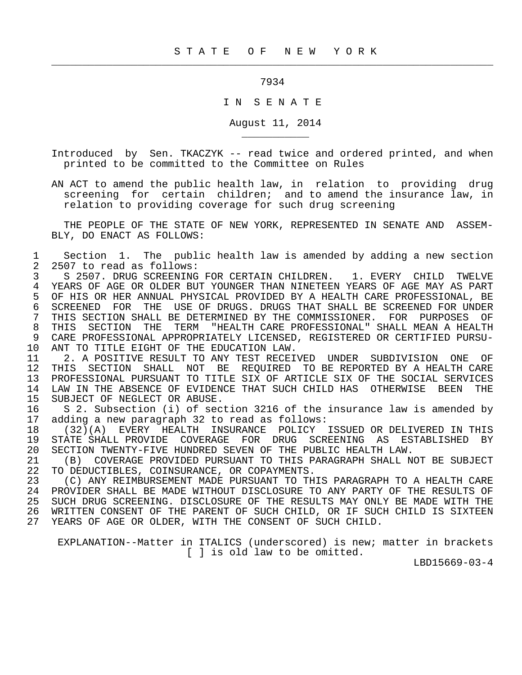7934

 $\frac{1}{2}$  , and the contribution of the contribution of the contribution of the contribution of the contribution of the contribution of the contribution of the contribution of the contribution of the contribution of the c

\_\_\_\_\_\_\_\_\_\_\_

## I N S E N A T E

August 11, 2014

 Introduced by Sen. TKACZYK -- read twice and ordered printed, and when printed to be committed to the Committee on Rules

 AN ACT to amend the public health law, in relation to providing drug screening for certain children; and to amend the insurance law, in relation to providing coverage for such drug screening

 THE PEOPLE OF THE STATE OF NEW YORK, REPRESENTED IN SENATE AND ASSEM- BLY, DO ENACT AS FOLLOWS:

1 Section 1. The public health law is amended by adding a new section<br>2 2507 to read as follows: 2 2507 to read as follows:<br>3 5 2507. DRUG SCREENING

3 S 2507. DRUG SCREENING FOR CERTAIN CHILDREN. 1. EVERY CHILD TWELVE<br>4 YEARS OF AGE OR OLDER BUT YOUNGER THAN NINETEEN YEARS OF AGE MAY AS PART 4 YEARS OF AGE OR OLDER BUT YOUNGER THAN NINETEEN YEARS OF AGE MAY AS PART<br>5 OF HIS OR HER ANNUAL PHYSICAL PROVIDED BY A HEALTH CARE PROFESSIONAL, BE 5 OF HIS OR HER ANNUAL PHYSICAL PROVIDED BY A HEALTH CARE PROFESSIONAL, BE<br>6 SCREENED FOR THE USE OF DRUGS, DRUGS THAT SHALL BE SCREENED FOR UNDER 6 SCREENED FOR THE USE OF DRUGS. DRUGS THAT SHALL BE SCREENED FOR UNDER<br>7 THIS SECTION SHALL BE DETERMINED BY THE COMMISSIONER. FOR PURPOSES OF 7 THIS SECTION SHALL BE DETERMINED BY THE COMMISSIONER. FOR PURPOSES OF 8 THIS SECTION THE TERM "HEALTH CARE PROFESSIONAL" SHALL MEAN A HEALTH<br>9 CARE PROFESSIONAL APPROPRIATELY LICENSED, REGISTERED OR CERTIFIED PURSU-9 CARE PROFESSIONAL APPROPRIATELY LICENSED, REGISTERED OR CERTIFIED PURSU-<br>10 ANT TO TITLE EIGHT OF THE EDUCATION LAW. 10 ANT TO TITLE EIGHT OF THE EDUCATION LAW.<br>11 2. A POSITIVE RESULT TO ANY TEST RECEI

11 12. A POSITIVE RESULT TO ANY TEST RECEIVED UNDER SUBDIVISION ONE OF 12 THIS SECTION SHALL NOT BE REOUIRED TO BE REPORTED BY A HEALTH CARE 12 THIS SECTION SHALL NOT BE REQUIRED TO BE REPORTED BY A HEALTH CARE<br>13 PROFESSIONAL PURSUANT TO TITLE SIX OF ARTICLE SIX OF THE SOCIAL SERVICES 13 PROFESSIONAL PURSUANT TO TITLE SIX OF ARTICLE SIX OF THE SOCIAL SERVICES 14 LAW IN THE ABSENCE OF EVIDENCE THAT SUCH CHILD HAS OTHERWISE BEEN THE 15 SUBJECT OF NEGLECT OR ABUSE. SUBJECT OF NEGLECT OR ABUSE.

16 S 2. Subsection (i) of section 3216 of the insurance law is amended by<br>17 adding a new paragraph 32 to read as follows: adding a new paragraph 32 to read as follows:

 18 (32)(A) EVERY HEALTH INSURANCE POLICY ISSUED OR DELIVERED IN THIS 19 STATE SHALL PROVIDE COVERAGE FOR DRUG SCREENING AS ESTABLISHED BY<br>20 SECTION TWENTY-FIVE HUNDRED SEVEN OF THE PUBLIC HEALTH LAW. 20 SECTION TWENTY-FIVE HUNDRED SEVEN OF THE PUBLIC HEALTH LAW.<br>21 (B) COVERAGE PROVIDED PURSUANT TO THIS PARAGRAPH SHALL N

21 (B) COVERAGE PROVIDED PURSUANT TO THIS PARAGRAPH SHALL NOT BE SUBJECT<br>22 TO DEDUCTIBLES, COINSURANCE, OR COPAYMENTS. 22 TO DEDUCTIBLES, COINSURANCE, OR COPAYMENTS.<br>23 (C) ANY REIMBURSEMENT MADE PURSUANT TO TH

23 (C) ANY REIMBURSEMENT MADE PURSUANT TO THIS PARAGRAPH TO A HEALTH CARE<br>24 PROVIDER SHALL BE MADE WITHOUT DISCLOSURE TO ANY PARTY OF THE RESULTS OF 24 PROVIDER SHALL BE MADE WITHOUT DISCLOSURE TO ANY PARTY OF THE RESULTS OF 25 SUCH DRUG SCREENING. DISCLOSURE OF THE RESULTS MAY ONLY BE MADE WITH THE 25 SUCH DRUG SCREENING. DISCLOSURE OF THE RESULTS MAY ONLY BE MADE WITH THE 26 WRITTEN CONSENT OF THE PARENT OF SUCH CHILD, OR IF SUCH CHILD IS SIXTEEN WRITTEN CONSENT OF THE PARENT OF SUCH CHILD, OR IF SUCH CHILD IS SIXTEEN 27 YEARS OF AGE OR OLDER, WITH THE CONSENT OF SUCH CHILD.

 EXPLANATION--Matter in ITALICS (underscored) is new; matter in brackets [ ] is old law to be omitted.

LBD15669-03-4